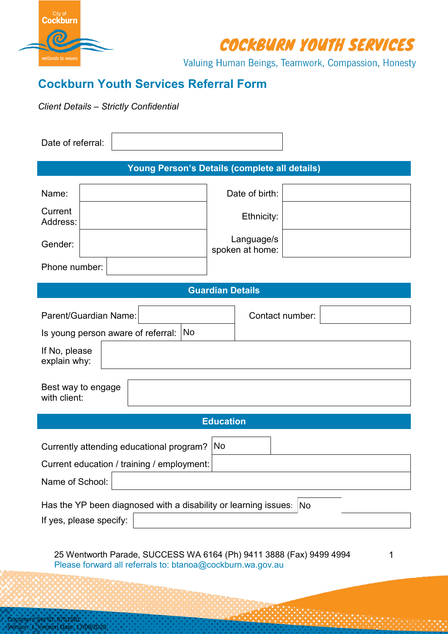

COCKBURN YOUTH SERVICES

Valuing Human Beings, Teamwork, Compassion, Honesty

## **Cockburn Youth Services Referral Form**

*Client Details – Strictly Confidential*

| Date of referral:                           |                                                                                                                                   |
|---------------------------------------------|-----------------------------------------------------------------------------------------------------------------------------------|
|                                             | Young Person's Details (complete all details)                                                                                     |
| Name:                                       | Date of birth:                                                                                                                    |
| Current<br>Address:                         | Ethnicity:                                                                                                                        |
| Gender:                                     | Language/s<br>spoken at home:                                                                                                     |
| Phone number:                               |                                                                                                                                   |
|                                             | <b>Guardian Details</b>                                                                                                           |
| Parent/Guardian Name:                       | Contact number:                                                                                                                   |
| Is young person aware of referral:          | <b>No</b>                                                                                                                         |
| If No, please<br>explain why:               |                                                                                                                                   |
| Best way to engage<br>with client:          |                                                                                                                                   |
|                                             | <b>Education</b>                                                                                                                  |
| Currently attending educational program? No |                                                                                                                                   |
| Current education / training / employment:  |                                                                                                                                   |
| Name of School:                             |                                                                                                                                   |
|                                             |                                                                                                                                   |
|                                             | Has the YP been diagnosed with a disability or learning issues: $ No $                                                            |
| If yes, please specify:                     |                                                                                                                                   |
|                                             | 25 Wentworth Parade, SUCCESS WA 6164 (Ph) 9411 3888 (Fax) 9499 4994<br>Please forward all referrals to: btanoa@cockburn.wa.gov.au |
|                                             |                                                                                                                                   |
|                                             |                                                                                                                                   |
| Document Set ID: 9751501                    |                                                                                                                                   |
| Version: 1, Version Date: 17/09/2020        |                                                                                                                                   |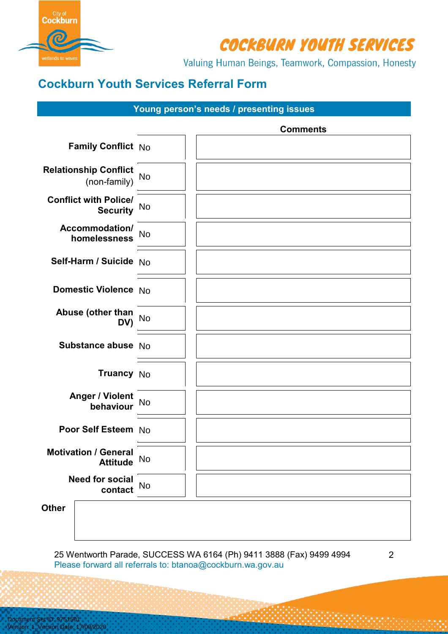

COCKBURN YOUTH SERVICES

Valuing Human Beings, Teamwork, Compassion, Honesty

# **Cockburn Youth Services Referral Form**

#### **Young person's needs / presenting issues**

|                                                 | <b>Comments</b> |  |
|-------------------------------------------------|-----------------|--|
| Family Conflict No                              |                 |  |
| <b>Relationship Conflict</b><br>(non-family)    | <b>No</b>       |  |
| <b>Conflict with Police/</b><br><b>Security</b> | No              |  |
| Accommodation/<br>homelessness                  | <b>No</b>       |  |
| Self-Harm / Suicide   No                        |                 |  |
| Domestic Violence No                            |                 |  |
| Abuse (other than<br>DV)                        | <b>No</b>       |  |
| Substance abuse   No                            |                 |  |
| Truancy No                                      |                 |  |
| <b>Anger / Violent</b><br>behaviour             | <b>No</b>       |  |
| Poor Self Esteem No                             |                 |  |
| <b>Motivation / General</b><br><b>Attitude</b>  | No              |  |
| <b>Need for social</b><br>contact               | <b>No</b>       |  |
| Other                                           |                 |  |

25 Wentworth Parade, SUCCESS WA 6164 (Ph) 9411 3888 (Fax) 9499 4994 Please forward all referrals to: btanoa@cockburn.wa.gov.au